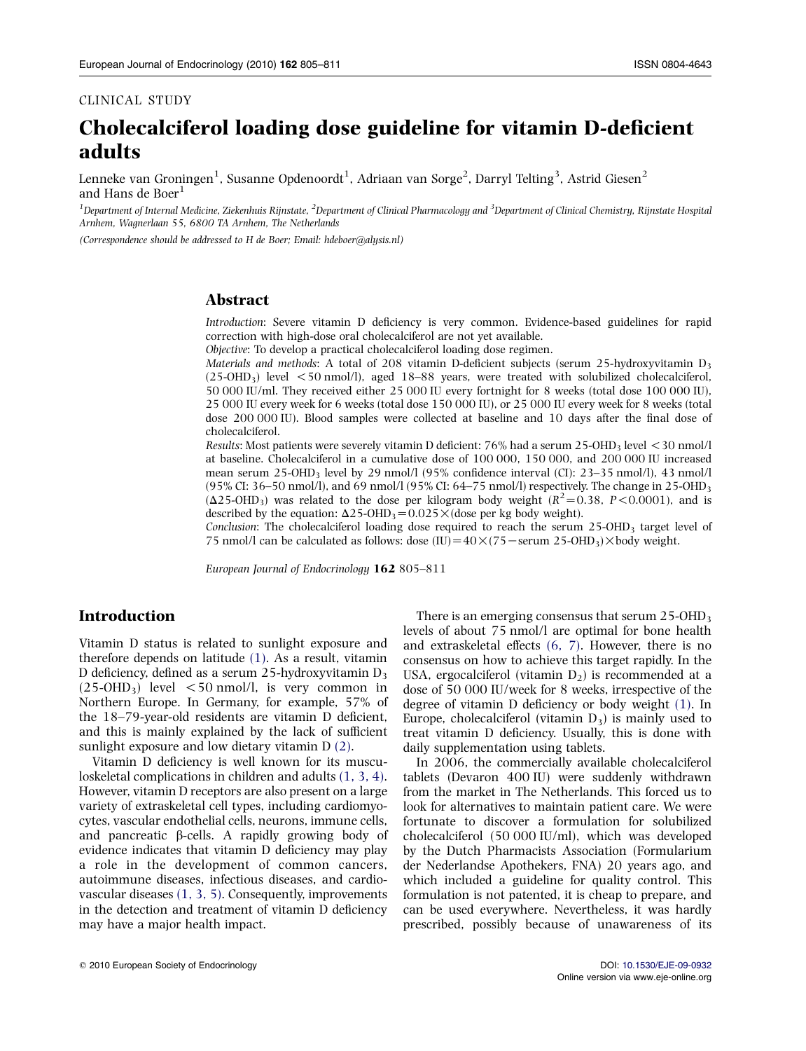#### CLINICAL STUDY

# Cholecalciferol loading dose guideline for vitamin D-deficient adults

Lenneke van Groningen $^1$ , Susanne Opdenoordt $^1$ , Adriaan van Sorge $^2$ , Darryl Telting $^3$ , Astrid Giesen $^2$ and Hans de Boer $<sup>1</sup>$ </sup>

<sup>1</sup> Department of Internal Medicine, Ziekenhuis Rijnstate, <sup>2</sup>Department of Clinical Pharmacology and <sup>3</sup>Department of Clinical Chemistry, Rijnstate Hospital Arnhem, Wagnerlaan 55, 6800 TA Arnhem, The Netherlands

(Correspondence should be addressed to H de Boer; Email: hdeboer@alysis.nl)

# Abstract

Introduction: Severe vitamin D deficiency is very common. Evidence-based guidelines for rapid correction with high-dose oral cholecalciferol are not yet available.

Objective: To develop a practical cholecalciferol loading dose regimen.

Materials and methods: A total of 208 vitamin D-deficient subjects (serum 25-hydroxyvitamin  $D_3$  $(25-OHD<sub>3</sub>)$  level  $<$  50 nmol/l), aged 18–88 years, were treated with solubilized cholecalciferol, 50 000 IU/ml. They received either 25 000 IU every fortnight for 8 weeks (total dose 100 000 IU), 25 000 IU every week for 6 weeks (total dose 150 000 IU), or 25 000 IU every week for 8 weeks (total dose 200 000 IU). Blood samples were collected at baseline and 10 days after the final dose of cholecalciferol.

Results: Most patients were severely vitamin D deficient:  $76\%$  had a serum 25-OHD<sub>3</sub> level  $\leq$  30 nmol/l at baseline. Cholecalciferol in a cumulative dose of 100 000, 150 000, and 200 000 IU increased mean serum 25-OHD<sub>3</sub> level by 29 nmol/l (95% confidence interval (CI): 23–35 nmol/l), 43 nmol/l (95% CI:  $36-50$  nmol/l), and 69 nmol/l (95% CI:  $64-75$  nmol/l) respectively. The change in 25-OHD<sub>3</sub>  $(\Delta 25$ -OHD<sub>3</sub>) was related to the dose per kilogram body weight  $(R^2 = 0.38, P < 0.0001)$ , and is described by the equation:  $\Delta$ 25-OHD<sub>3</sub> = 0.025  $\times$  (dose per kg body weight).

Conclusion: The cholecalciferol loading dose required to reach the serum  $25$ -OHD<sub>3</sub> target level of 75 nmol/l can be calculated as follows: dose  $(IU) = 40 \times (75 - \text{serum } 25\text{-OHD}_3) \times \text{body weight.}$ 

European Journal of Endocrinology 162 805–811

# Introduction

Vitamin D status is related to sunlight exposure and therefore depends on latitude [\(1\).](#page-5-0) As a result, vitamin D deficiency, defined as a serum 25-hydroxyvitamin  $D_3$  $(25\text{-}OHD_3)$  level  $\lt 50$  nmol/l, is very common in Northern Europe. In Germany, for example, 57% of the 18–79-year-old residents are vitamin D deficient, and this is mainly explained by the lack of sufficient sunlight exposure and low dietary vitamin D [\(2\)](#page-5-0).

Vitamin D deficiency is well known for its musculoskeletal complications in children and adults [\(1, 3, 4\)](#page-5-0). However, vitamin D receptors are also present on a large variety of extraskeletal cell types, including cardiomyocytes, vascular endothelial cells, neurons, immune cells, and pancreatic  $\beta$ -cells. A rapidly growing body of evidence indicates that vitamin D deficiency may play a role in the development of common cancers, autoimmune diseases, infectious diseases, and cardiovascular diseases [\(1, 3, 5\).](#page-5-0) Consequently, improvements in the detection and treatment of vitamin D deficiency may have a major health impact.

There is an emerging consensus that serum  $25$ -OHD<sub>3</sub> levels of about 75 nmol/l are optimal for bone health and extraskeletal effects [\(6, 7\).](#page-5-0) However, there is no consensus on how to achieve this target rapidly. In the USA, ergocalciferol (vitamin  $D_2$ ) is recommended at a dose of 50 000 IU/week for 8 weeks, irrespective of the degree of vitamin D deficiency or body weight [\(1\)](#page-5-0). In Europe, cholecalciferol (vitamin  $D_3$ ) is mainly used to treat vitamin D deficiency. Usually, this is done with daily supplementation using tablets.

In 2006, the commercially available cholecalciferol tablets (Devaron 400 IU) were suddenly withdrawn from the market in The Netherlands. This forced us to look for alternatives to maintain patient care. We were fortunate to discover a formulation for solubilized cholecalciferol (50 000 IU/ml), which was developed by the Dutch Pharmacists Association (Formularium der Nederlandse Apothekers, FNA) 20 years ago, and which included a guideline for quality control. This formulation is not patented, it is cheap to prepare, and can be used everywhere. Nevertheless, it was hardly prescribed, possibly because of unawareness of its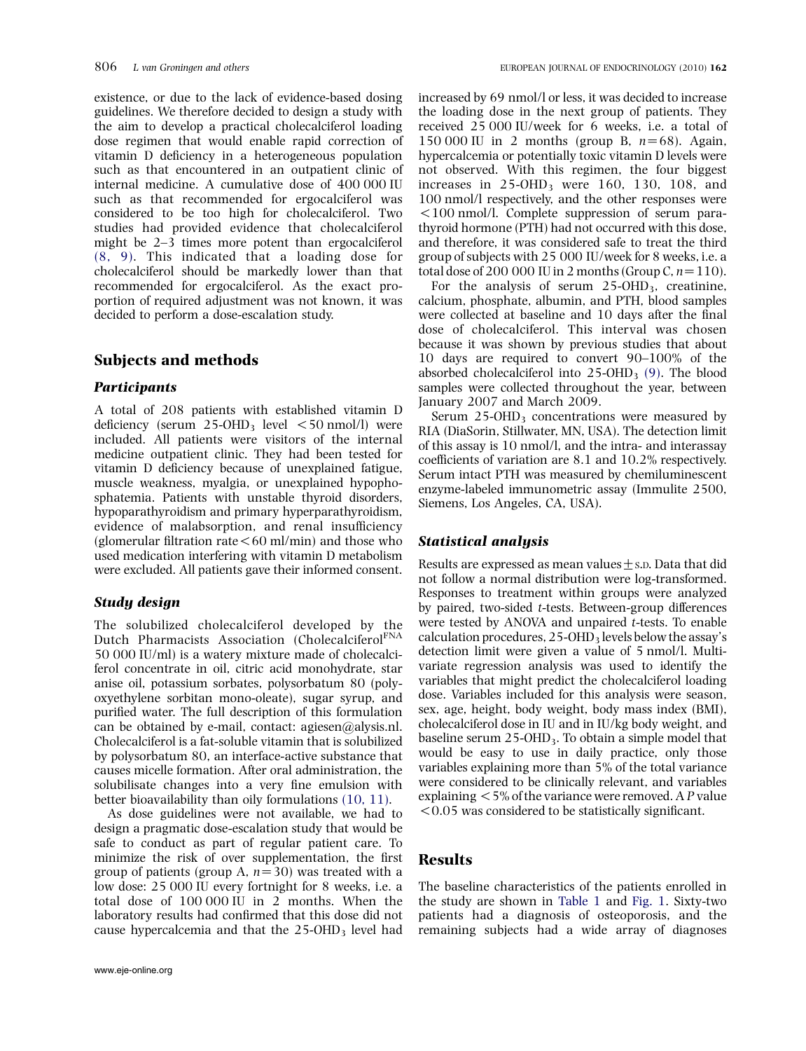existence, or due to the lack of evidence-based dosing guidelines. We therefore decided to design a study with the aim to develop a practical cholecalciferol loading dose regimen that would enable rapid correction of vitamin D deficiency in a heterogeneous population such as that encountered in an outpatient clinic of internal medicine. A cumulative dose of 400 000 IU such as that recommended for ergocalciferol was considered to be too high for cholecalciferol. Two studies had provided evidence that cholecalciferol might be 2–3 times more potent than ergocalciferol [\(8, 9\).](#page-5-0) This indicated that a loading dose for cholecalciferol should be markedly lower than that recommended for ergocalciferol. As the exact proportion of required adjustment was not known, it was decided to perform a dose-escalation study.

# Subjects and methods

#### **Participants**

A total of 208 patients with established vitamin D deficiency (serum  $25$ -OHD<sub>3</sub> level  $\lt$  50 nmol/l) were included. All patients were visitors of the internal medicine outpatient clinic. They had been tested for vitamin D deficiency because of unexplained fatigue, muscle weakness, myalgia, or unexplained hypophosphatemia. Patients with unstable thyroid disorders, hypoparathyroidism and primary hyperparathyroidism, evidence of malabsorption, and renal insufficiency (glomerular filtration rate  $<60$  ml/min) and those who used medication interfering with vitamin D metabolism were excluded. All patients gave their informed consent.

# Study design

The solubilized cholecalciferol developed by the Dutch Pharmacists Association (Cholecalciferol<sup>FNA</sup> 50 000 IU/ml) is a watery mixture made of cholecalciferol concentrate in oil, citric acid monohydrate, star anise oil, potassium sorbates, polysorbatum 80 (polyoxyethylene sorbitan mono-oleate), sugar syrup, and purified water. The full description of this formulation can be obtained by e-mail, contact: agiesen@alysis.nl. Cholecalciferol is a fat-soluble vitamin that is solubilized by polysorbatum 80, an interface-active substance that causes micelle formation. After oral administration, the solubilisate changes into a very fine emulsion with better bioavailability than oily formulations [\(10, 11\).](#page-5-0)

As dose guidelines were not available, we had to design a pragmatic dose-escalation study that would be safe to conduct as part of regular patient care. To minimize the risk of over supplementation, the first group of patients (group A,  $n=30$ ) was treated with a low dose: 25 000 IU every fortnight for 8 weeks, i.e. a total dose of 100 000 IU in 2 months. When the laboratory results had confirmed that this dose did not cause hypercalcemia and that the  $25$ -OHD<sub>3</sub> level had

increased by 69 nmol/l or less, it was decided to increase the loading dose in the next group of patients. They received 25 000 IU/week for 6 weeks, i.e. a total of 150 000 IU in 2 months (group B,  $n=68$ ). Again, hypercalcemia or potentially toxic vitamin D levels were not observed. With this regimen, the four biggest increases in  $25$ -OHD<sub>3</sub> were 160, 130, 108, and 100 nmol/l respectively, and the other responses were  $100 \text{ nmol/l}$ . Complete suppression of serum parathyroid hormone (PTH) had not occurred with this dose, and therefore, it was considered safe to treat the third group of subjects with 25 000 IU/week for 8 weeks, i.e. a total dose of 200 000 IU in 2 months (Group C,  $n=110$ ).

For the analysis of serum  $25$ -OHD<sub>3</sub>, creatinine, calcium, phosphate, albumin, and PTH, blood samples were collected at baseline and 10 days after the final dose of cholecalciferol. This interval was chosen because it was shown by previous studies that about 10 days are required to convert 90–100% of the absorbed cholecalciferol into  $25$ -OHD<sub>3</sub> [\(9\)](#page-5-0). The blood samples were collected throughout the year, between January 2007 and March 2009.

Serum  $25$ -OHD<sub>3</sub> concentrations were measured by RIA (DiaSorin, Stillwater, MN, USA). The detection limit of this assay is 10 nmol/l, and the intra- and interassay coefficients of variation are 8.1 and 10.2% respectively. Serum intact PTH was measured by chemiluminescent enzyme-labeled immunometric assay (Immulite 2500, Siemens, Los Angeles, CA, USA).

## Statistical analysis

Results are expressed as mean values  $+s$ .p. Data that did not follow a normal distribution were log-transformed. Responses to treatment within groups were analyzed by paired, two-sided t-tests. Between-group differences were tested by ANOVA and unpaired t-tests. To enable calculation procedures,  $25$ -OHD<sub>3</sub> levels below the assay's detection limit were given a value of 5 nmol/l. Multivariate regression analysis was used to identify the variables that might predict the cholecalciferol loading dose. Variables included for this analysis were season, sex, age, height, body weight, body mass index (BMI), cholecalciferol dose in IU and in IU/kg body weight, and baseline serum 25-OHD<sub>3</sub>. To obtain a simple model that would be easy to use in daily practice, only those variables explaining more than 5% of the total variance were considered to be clinically relevant, and variables explaining  $<$  5% of the variance were removed. A P value  $<0.05$  was considered to be statistically significant.

# Results

The baseline characteristics of the patients enrolled in the study are shown in [Table 1](#page-2-0) and [Fig. 1](#page-2-0). Sixty-two patients had a diagnosis of osteoporosis, and the remaining subjects had a wide array of diagnoses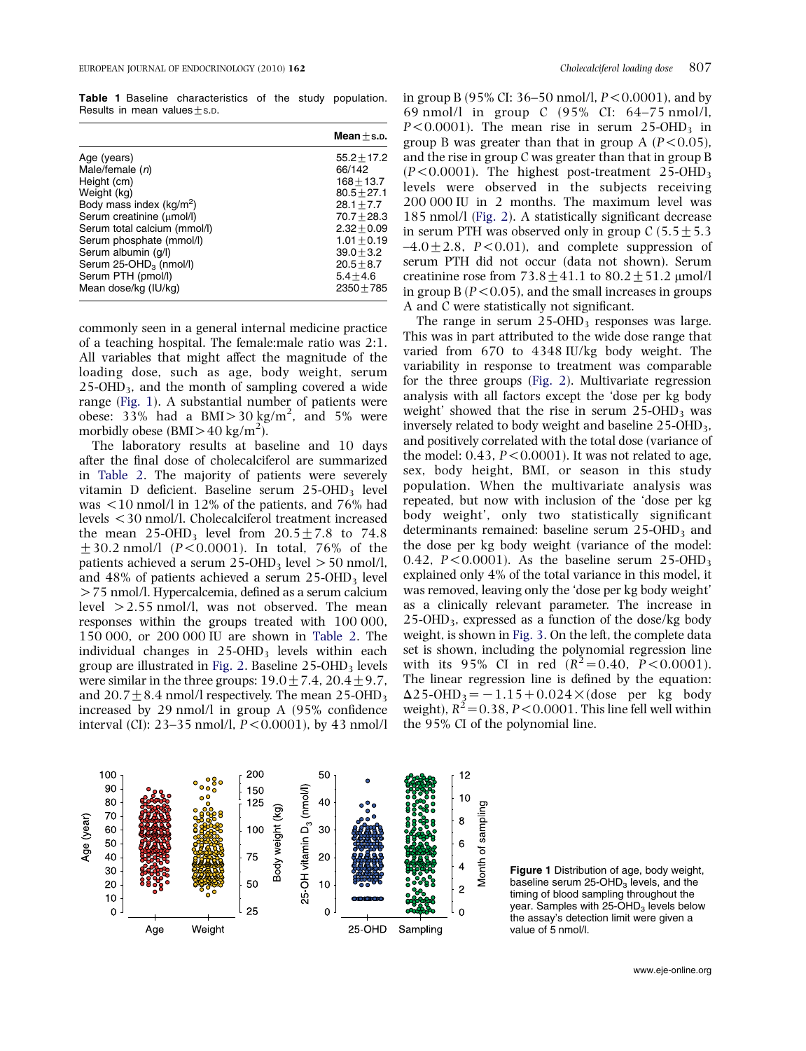<span id="page-2-0"></span>Table 1 Baseline characteristics of the study population. Results in mean values  $+s.p$ .

|                                    | $Mean + s.p.$<br>$55.2 + 17.2$ |  |
|------------------------------------|--------------------------------|--|
| Age (years)                        |                                |  |
| Male/female $(n)$                  | 66/142                         |  |
| Height (cm)                        | $168 + 13.7$                   |  |
| Weight (kg)                        | $80.5 + 27.1$                  |  |
| Body mass index $(kg/m^2)$         | $28.1 + 7.7$                   |  |
| Serum creatinine (umol/l)          | $70.7 + 28.3$                  |  |
| Serum total calcium (mmol/l)       | $2.32 + 0.09$                  |  |
| Serum phosphate (mmol/l)           | $1.01 + 0.19$                  |  |
| Serum albumin (q/l)                | $39.0 + 3.2$                   |  |
| Serum 25-OHD <sub>3</sub> (nmol/l) | $20.5 + 8.7$                   |  |
| Serum PTH (pmol/l)                 | $5.4 + 4.6$                    |  |
| Mean dose/kg (IU/kg)               | $2350 + 785$                   |  |

commonly seen in a general internal medicine practice of a teaching hospital. The female:male ratio was 2:1. All variables that might affect the magnitude of the loading dose, such as age, body weight, serum  $25$ -OHD<sub>3</sub>, and the month of sampling covered a wide range (Fig. 1). A substantial number of patients were obese:  $33\%$  had a BMI > 30 kg/m<sup>2</sup>, and 5% were morbidly obese (BMI $>$ 40 kg/m<sup>2</sup>).

The laboratory results at baseline and 10 days after the final dose of cholecalciferol are summarized in [Table 2](#page-3-0). The majority of patients were severely vitamin D deficient. Baseline serum 25-OHD<sub>3</sub> level was  $\langle 10 \text{ nmol/l}$  in 12% of the patients, and 76% had levels !30 nmol/l. Cholecalciferol treatment increased the mean 25-OHD<sub>3</sub> level from  $20.5\pm7.8$  to 74.8  $+30.2$  nmol/l (P<0.0001). In total, 76% of the patients achieved a serum  $25$ -OHD<sub>3</sub> level  $> 50$  nmol/l, and  $48\%$  of patients achieved a serum  $25\text{-}OHD_3$  level  $>$  75 nmol/l. Hypercalcemia, defined as a serum calcium level  $>2.55$  nmol/l, was not observed. The mean responses within the groups treated with 100 000, 150 000, or 200 000 IU are shown in [Table 2](#page-3-0). The individual changes in  $25-OHD<sub>3</sub>$  levels within each group are illustrated in [Fig. 2.](#page-3-0) Baseline  $25$ -OHD<sub>3</sub> levels were similar in the three groups:  $19.0 \pm 7.4$ ,  $20.4 \pm 9.7$ , and  $20.7 + 8.4$  nmol/l respectively. The mean 25-OHD<sub>3</sub> increased by 29 nmol/l in group A (95% confidence interval (CI): 23–35 nmol/l,  $P < 0.0001$ ), by 43 nmol/l



in group B (95% CI: 36–50 nmol/l,  $P < 0.0001$ ), and by 69 nmol/l in group C (95% CI: 64–75 nmol/l,  $P < 0.0001$ ). The mean rise in serum 25-OHD<sub>3</sub> in group B was greater than that in group A ( $P < 0.05$ ), and the rise in group C was greater than that in group B  $(P<0.0001)$ . The highest post-treatment 25-OHD<sub>3</sub> levels were observed in the subjects receiving 200 000 IU in 2 months. The maximum level was 185 nmol/l ([Fig. 2](#page-3-0)). A statistically significant decrease in serum PTH was observed only in group C ( $5.5 \pm 5.3$ )  $-4.0 \pm 2.8$ , P<0.01), and complete suppression of serum PTH did not occur (data not shown). Serum creatinine rose from  $73.8 + 41.1$  to  $80.2 + 51.2$  µmol/l in group  $B(P < 0.05)$ , and the small increases in groups A and C were statistically not significant.

The range in serum  $25$ -OHD<sub>3</sub> responses was large. This was in part attributed to the wide dose range that varied from 670 to 4348 IU/kg body weight. The variability in response to treatment was comparable for the three groups [\(Fig. 2](#page-3-0)). Multivariate regression analysis with all factors except the 'dose per kg body weight' showed that the rise in serum  $25\text{-OHD}_3$  was inversely related to body weight and baseline  $25$ -OHD<sub>3</sub>, and positively correlated with the total dose (variance of the model:  $0.43$ ,  $P < 0.0001$ ). It was not related to age, sex, body height, BMI, or season in this study population. When the multivariate analysis was repeated, but now with inclusion of the 'dose per kg body weight', only two statistically significant determinants remained: baseline serum  $25$ -OHD<sub>3</sub> and the dose per kg body weight (variance of the model: 0.42,  $P < 0.0001$ ). As the baseline serum 25-OHD<sub>3</sub> explained only 4% of the total variance in this model, it was removed, leaving only the 'dose per kg body weight' as a clinically relevant parameter. The increase in  $25$ -OHD<sub>3</sub>, expressed as a function of the dose/kg body weight, is shown in [Fig. 3](#page-4-0). On the left, the complete data set is shown, including the polynomial regression line with its 95% CI in red  $(R^2 = 0.40, P < 0.0001)$ . The linear regression line is defined by the equation:  $\Delta$ 25-OHD<sub>3</sub> = -1.15+0.024  $\times$  (dose per kg body weight),  $R^2 = 0.38$ ,  $P < 0.0001$ . This line fell well within the 95% CI of the polynomial line.



Figure 1 Distribution of age, body weight, baseline serum  $25$ -OHD<sub>3</sub> levels, and the timing of blood sampling throughout the year. Samples with  $25-\text{OHD}_3$  levels below the assay's detection limit were given a value of 5 nmol/l.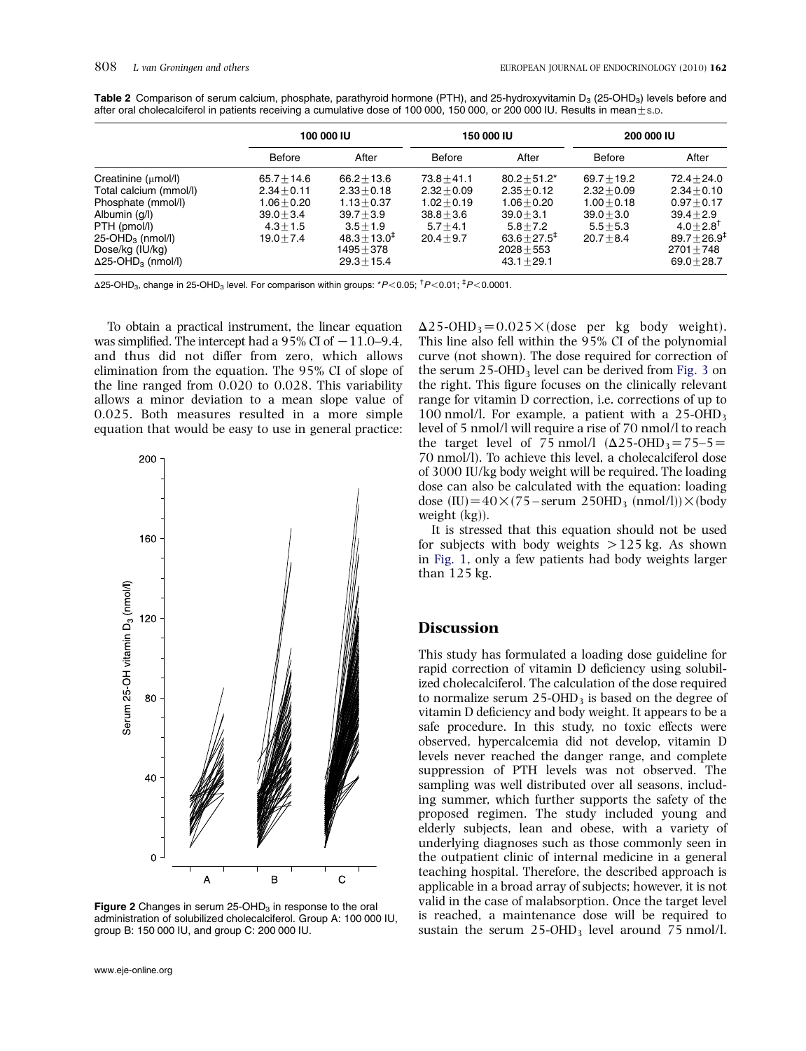|                                                                                                                                                                                                                 | 100 000 IU                                                                                     |                                                                                                                            | 150 000 IU                                                                                     |                                                                                                                               | <b>200 000 IU</b>                                                                              |                                                                                                                                         |
|-----------------------------------------------------------------------------------------------------------------------------------------------------------------------------------------------------------------|------------------------------------------------------------------------------------------------|----------------------------------------------------------------------------------------------------------------------------|------------------------------------------------------------------------------------------------|-------------------------------------------------------------------------------------------------------------------------------|------------------------------------------------------------------------------------------------|-----------------------------------------------------------------------------------------------------------------------------------------|
|                                                                                                                                                                                                                 | <b>Before</b>                                                                                  | After                                                                                                                      | Before                                                                                         | After                                                                                                                         | <b>Before</b>                                                                                  | After                                                                                                                                   |
| Creatinine $(\mu \text{mol/l})$<br>Total calcium (mmol/l)<br>Phosphate (mmol/l)<br>Albumin (g/l)<br>PTH (pmol/l)<br>$25$ -OHD <sub>3</sub> (nmol/l)<br>Dose/kg (IU/kg)<br>$\Delta$ 25-OHD <sub>3</sub> (nmol/l) | $65.7 + 14.6$<br>$2.34 + 0.11$<br>$1.06 + 0.20$<br>$39.0 + 3.4$<br>$4.3 + 1.5$<br>$19.0 + 7.4$ | $66.2 + 13.6$<br>$2.33 + 0.18$<br>$1.13 + 0.37$<br>$39.7 + 3.9$<br>$3.5 + 1.9$<br>$48.3 + 13.0^{\ddagger}$<br>$1495 + 378$ | $73.8 + 41.1$<br>$2.32 + 0.09$<br>$1.02 + 0.19$<br>$38.8 + 3.6$<br>$5.7 + 4.1$<br>$20.4 + 9.7$ | $80.2 + 51.2*$<br>$2.35 + 0.12$<br>$1.06 + 0.20$<br>$39.0 + 3.1$<br>$5.8 + 7.2$<br>$63.6 + 27.5$ <sup>#</sup><br>$2028 + 553$ | $69.7 + 19.2$<br>$2.32 + 0.09$<br>$1.00 + 0.18$<br>$39.0 + 3.0$<br>$5.5 + 5.3$<br>$20.7 + 8.4$ | $72.4 + 24.0$<br>$2.34 + 0.10$<br>$0.97 + 0.17$<br>$39.4 + 2.9$<br>$4.0 + 2.8$ <sup>T</sup><br>$89.7 + 26.9^{\ddagger}$<br>$2701 + 748$ |

<span id="page-3-0"></span>Table 2 Comparison of serum calcium, phosphate, parathyroid hormone (PTH), and 25-hydroxyvitamin  $D_3$  (25-OHD<sub>3</sub>) levels before and after oral cholecalciferol in patients receiving a cumulative dose of 100 000, 150 000, or 200 000 IU. Results in mean $\pm$ s.D.

 $\Delta$ 25-OHD<sub>3</sub>, change in 25-OHD<sub>3</sub> level. For comparison within groups:  $*P< 0.05;$   $\dagger P< 0.01;$   $\dagger P< 0.0001$ .

To obtain a practical instrument, the linear equation was simplified. The intercept had a 95% CI of  $-11.0-9.4$ , and thus did not differ from zero, which allows elimination from the equation. The 95% CI of slope of the line ranged from 0.020 to 0.028. This variability allows a minor deviation to a mean slope value of 0.025. Both measures resulted in a more simple equation that would be easy to use in general practice:



Figure 2 Changes in serum  $25$ -OHD<sub>3</sub> in response to the oral administration of solubilized cholecalciferol. Group A: 100 000 IU, group B: 150 000 IU, and group C: 200 000 IU.

 $\Delta$ 25-OHD<sub>3</sub>=0.025 \times (dose per kg body weight). This line also fell within the 95% CI of the polynomial curve (not shown). The dose required for correction of the serum  $25$ -OHD<sub>3</sub> level can be derived from [Fig. 3](#page-4-0) on the right. This figure focuses on the clinically relevant range for vitamin D correction, i.e. corrections of up to 100 nmol/l. For example, a patient with a  $25$ -OHD<sub>3</sub> level of 5 nmol/l will require a rise of 70 nmol/l to reach the target level of 75 nmol/l  $(\Delta 25\text{-}OHD_3=75-5=$ 70 nmol/l). To achieve this level, a cholecalciferol dose of 3000 IU/kg body weight will be required. The loading dose can also be calculated with the equation: loading dose (IU)= $40 \times (75 - \text{serum } 250 \text{HD}_3 \text{ (nmol/l)}) \times (\text{body }$ weight (kg)).

It is stressed that this equation should not be used for subjects with body weights  $>125$  kg. As shown in [Fig. 1](#page-2-0), only a few patients had body weights larger than 125 kg.

### **Discussion**

This study has formulated a loading dose guideline for rapid correction of vitamin D deficiency using solubilized cholecalciferol. The calculation of the dose required to normalize serum  $25$ -OHD<sub>3</sub> is based on the degree of vitamin D deficiency and body weight. It appears to be a safe procedure. In this study, no toxic effects were observed, hypercalcemia did not develop, vitamin D levels never reached the danger range, and complete suppression of PTH levels was not observed. The sampling was well distributed over all seasons, including summer, which further supports the safety of the proposed regimen. The study included young and elderly subjects, lean and obese, with a variety of underlying diagnoses such as those commonly seen in the outpatient clinic of internal medicine in a general teaching hospital. Therefore, the described approach is applicable in a broad array of subjects; however, it is not valid in the case of malabsorption. Once the target level is reached, a maintenance dose will be required to sustain the serum  $25$ -OHD<sub>3</sub> level around  $75$  nmol/l.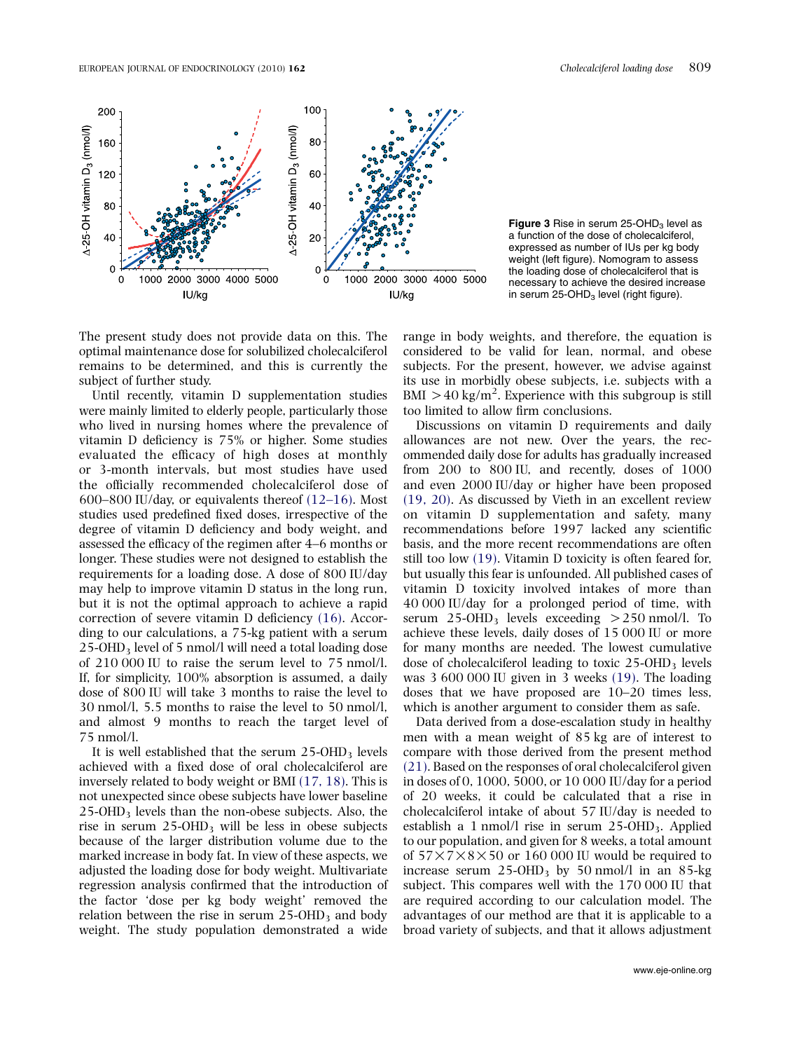<span id="page-4-0"></span>



The present study does not provide data on this. The optimal maintenance dose for solubilized cholecalciferol remains to be determined, and this is currently the subject of further study.

Until recently, vitamin D supplementation studies were mainly limited to elderly people, particularly those who lived in nursing homes where the prevalence of vitamin D deficiency is 75% or higher. Some studies evaluated the efficacy of high doses at monthly or 3-month intervals, but most studies have used the officially recommended cholecalciferol dose of 600–800 IU/day, or equivalents thereof [\(12–16\).](#page-5-0) Most studies used predefined fixed doses, irrespective of the degree of vitamin D deficiency and body weight, and assessed the efficacy of the regimen after 4–6 months or longer. These studies were not designed to establish the requirements for a loading dose. A dose of 800 IU/day may help to improve vitamin D status in the long run, but it is not the optimal approach to achieve a rapid correction of severe vitamin D deficiency [\(16\).](#page-5-0) According to our calculations, a 75-kg patient with a serum 25-OHD3 level of 5 nmol/l will need a total loading dose of 210 000 IU to raise the serum level to 75 nmol/l. If, for simplicity, 100% absorption is assumed, a daily dose of 800 IU will take 3 months to raise the level to 30 nmol/l, 5.5 months to raise the level to 50 nmol/l, and almost 9 months to reach the target level of 75 nmol/l.

It is well established that the serum  $25$ -OHD<sub>3</sub> levels achieved with a fixed dose of oral cholecalciferol are inversely related to body weight or BMI [\(17, 18\).](#page-5-0) This is not unexpected since obese subjects have lower baseline 25-OHD3 levels than the non-obese subjects. Also, the rise in serum  $25$ -OHD<sub>3</sub> will be less in obese subjects because of the larger distribution volume due to the marked increase in body fat. In view of these aspects, we adjusted the loading dose for body weight. Multivariate regression analysis confirmed that the introduction of the factor 'dose per kg body weight' removed the relation between the rise in serum  $25$ -OHD<sub>3</sub> and body weight. The study population demonstrated a wide

range in body weights, and therefore, the equation is considered to be valid for lean, normal, and obese subjects. For the present, however, we advise against its use in morbidly obese subjects, i.e. subjects with a BMI  $>$  40 kg/m<sup>2</sup>. Experience with this subgroup is still too limited to allow firm conclusions.

Discussions on vitamin D requirements and daily allowances are not new. Over the years, the recommended daily dose for adults has gradually increased from 200 to 800 IU, and recently, doses of 1000 and even 2000 IU/day or higher have been proposed [\(19, 20\).](#page-6-0) As discussed by Vieth in an excellent review on vitamin D supplementation and safety, many recommendations before 1997 lacked any scientific basis, and the more recent recommendations are often still too low [\(19\).](#page-6-0) Vitamin D toxicity is often feared for, but usually this fear is unfounded. All published cases of vitamin D toxicity involved intakes of more than 40 000 IU/day for a prolonged period of time, with serum  $25$ -OHD<sub>3</sub> levels exceeding  $>$  250 nmol/l. To achieve these levels, daily doses of 15 000 IU or more for many months are needed. The lowest cumulative dose of cholecalciferol leading to toxic  $25$ -OHD<sub>3</sub> levels was 3 600 000 IU given in 3 weeks [\(19\).](#page-6-0) The loading doses that we have proposed are 10–20 times less, which is another argument to consider them as safe.

Data derived from a dose-escalation study in healthy men with a mean weight of 85 kg are of interest to compare with those derived from the present method [\(21\).](#page-6-0) Based on the responses of oral cholecalciferol given in doses of 0, 1000, 5000, or 10 000 IU/day for a period of 20 weeks, it could be calculated that a rise in cholecalciferol intake of about 57 IU/day is needed to establish a 1 nmol/l rise in serum  $25$ -OHD<sub>3</sub>. Applied to our population, and given for 8 weeks, a total amount of  $57 \times 7 \times 8 \times 50$  or 160 000 IU would be required to increase serum  $25$ -OHD<sub>3</sub> by 50 nmol/l in an 85-kg subject. This compares well with the 170 000 IU that are required according to our calculation model. The advantages of our method are that it is applicable to a broad variety of subjects, and that it allows adjustment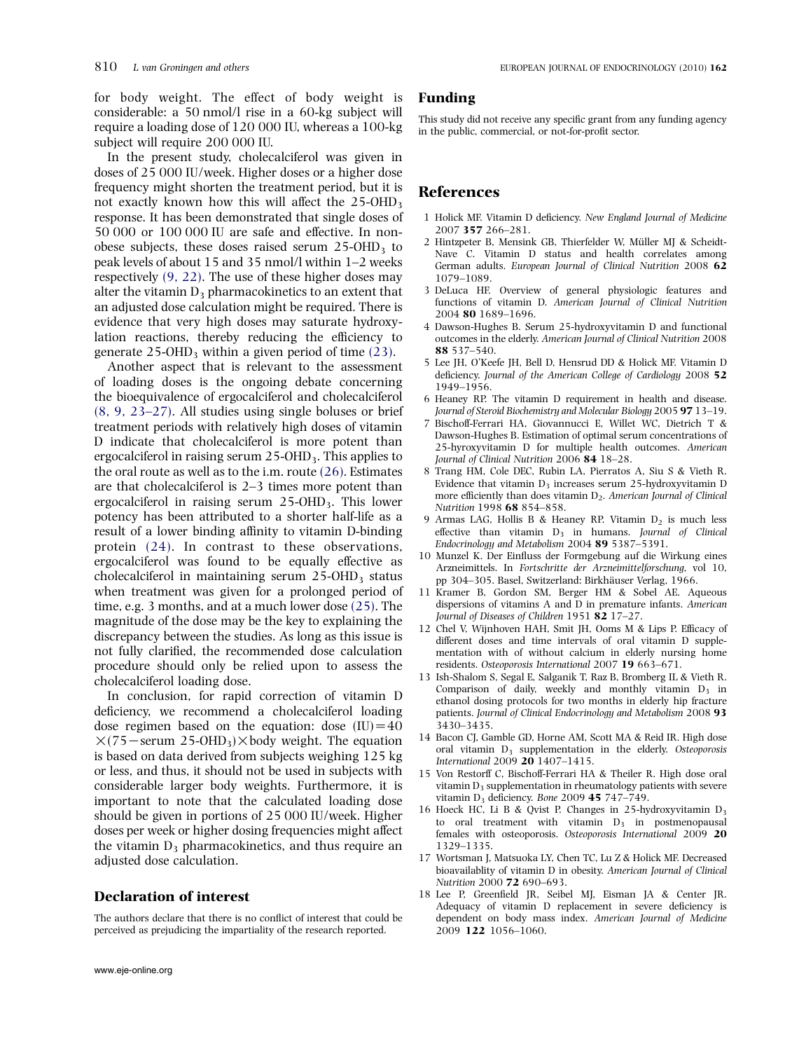<span id="page-5-0"></span>In the present study, cholecalciferol was given in doses of 25 000 IU/week. Higher doses or a higher dose frequency might shorten the treatment period, but it is not exactly known how this will affect the  $25$ -OHD<sub>3</sub> response. It has been demonstrated that single doses of 50 000 or 100 000 IU are safe and effective. In nonobese subjects, these doses raised serum  $25$ -OHD<sub>3</sub> to peak levels of about 15 and 35 nmol/l within 1–2 weeks respectively (9, 22). The use of these higher doses may alter the vitamin  $D_3$  pharmacokinetics to an extent that an adjusted dose calculation might be required. There is evidence that very high doses may saturate hydroxylation reactions, thereby reducing the efficiency to generate  $25$ -OHD<sub>3</sub> within a given period of time [\(23\).](#page-6-0)

Another aspect that is relevant to the assessment of loading doses is the ongoing debate concerning the bioequivalence of ergocalciferol and cholecalciferol (8, 9, 23–27). All studies using single boluses or brief treatment periods with relatively high doses of vitamin D indicate that cholecalciferol is more potent than ergocalciferol in raising serum  $25$ -OHD<sub>3</sub>. This applies to the oral route as well as to the i.m. route [\(26\).](#page-6-0) Estimates are that cholecalciferol is 2–3 times more potent than ergocalciferol in raising serum  $25$ -OHD<sub>3</sub>. This lower potency has been attributed to a shorter half-life as a result of a lower binding affinity to vitamin D-binding protein [\(24\)](#page-6-0). In contrast to these observations, ergocalciferol was found to be equally effective as cholecalciferol in maintaining serum  $25$ -OHD<sub>3</sub> status when treatment was given for a prolonged period of time, e.g. 3 months, and at a much lower dose [\(25\)](#page-6-0). The magnitude of the dose may be the key to explaining the discrepancy between the studies. As long as this issue is not fully clarified, the recommended dose calculation procedure should only be relied upon to assess the cholecalciferol loading dose.

In conclusion, for rapid correction of vitamin D deficiency, we recommend a cholecalciferol loading dose regimen based on the equation: dose  $(IU)=40$  $\times$ (75 – serum 25-OHD<sub>3</sub>) $\times$ body weight. The equation is based on data derived from subjects weighing 125 kg or less, and thus, it should not be used in subjects with considerable larger body weights. Furthermore, it is important to note that the calculated loading dose should be given in portions of 25 000 IU/week. Higher doses per week or higher dosing frequencies might affect the vitamin  $D_3$  pharmacokinetics, and thus require an adjusted dose calculation.

#### Declaration of interest

The authors declare that there is no conflict of interest that could be perceived as prejudicing the impartiality of the research reported.

### Funding

This study did not receive any specific grant from any funding agency in the public, commercial, or not-for-profit sector.

# References

- 1 Holick MF. Vitamin D deficiency. New England Journal of Medicine 2007 357 266–281.
- 2 Hintzpeter B, Mensink GB, Thierfelder W, Müller MJ & Scheidt-Nave C. Vitamin D status and health correlates among German adults. European Journal of Clinical Nutrition 2008 62 1079–1089.
- 3 DeLuca HF. Overview of general physiologic features and functions of vitamin D. American Journal of Clinical Nutrition 2004 80 1689–1696.
- 4 Dawson-Hughes B. Serum 25-hydroxyvitamin D and functional outcomes in the elderly. American Journal of Clinical Nutrition 2008 88 537–540.
- 5 Lee JH, O'Keefe JH, Bell D, Hensrud DD & Holick MF. Vitamin D deficiency. Journal of the American College of Cardiology 2008 52 1949–1956.
- 6 Heaney RP. The vitamin D requirement in health and disease. Journal of Steroid Biochemistry and Molecular Biology 2005 97 13–19.
- 7 Bischoff-Ferrari HA, Giovannucci E, Willet WC, Dietrich T & Dawson-Hughes B. Estimation of optimal serum concentrations of 25-hyroxyvitamin D for multiple health outcomes. American Journal of Clinical Nutrition 2006 84 18–28.
- 8 Trang HM, Cole DEC, Rubin LA, Pierratos A, Siu S & Vieth R. Evidence that vitamin  $D_3$  increases serum 25-hydroxyvitamin D more efficiently than does vitamin  $D_2$ . American Journal of Clinical Nutrition 1998 68 854–858.
- 9 Armas LAG, Hollis B & Heaney RP. Vitamin  $D_2$  is much less effective than vitamin  $D_3$  in humans. Journal of Clinical Endocrinology and Metabolism 2004 89 5387–5391.
- 10 Munzel K. Der Einfluss der Formgebung auf die Wirkung eines Arzneimittels. In Fortschritte der Arzneimittelforschung, vol 10, pp 304–305. Basel, Switzerland: Birkhäuser Verlag, 1966.
- 11 Kramer B, Gordon SM, Berger HM & Sobel AE. Aqueous dispersions of vitamins A and D in premature infants. American Journal of Diseases of Children 1951 82 17–27.
- 12 Chel V, Wijnhoven HAH, Smit JH, Ooms M & Lips P. Efficacy of different doses and time intervals of oral vitamin D supplementation with of without calcium in elderly nursing home residents. Osteoporosis International 2007 19 663–671.
- 13 Ish-Shalom S, Segal E, Salganik T, Raz B, Bromberg IL & Vieth R. Comparison of daily, weekly and monthly vitamin  $D_3$  in ethanol dosing protocols for two months in elderly hip fracture patients. Journal of Clinical Endocrinology and Metabolism 2008 93 3430–3435.
- 14 Bacon CJ, Gamble GD, Horne AM, Scott MA & Reid IR. High dose oral vitamin  $D_3$  supplementation in the elderly. Osteoporosis International 2009 20 1407–1415.
- 15 Von Restorff C, Bischoff-Ferrari HA & Theiler R. High dose oral vitamin  $D_3$  supplementation in rheumatology patients with severe vitamin  $D_3$  deficiency. Bone 2009 45 747-749.
- 16 Hoeck HC, Li B & Qvist P. Changes in 25-hydroxyvitamin  $D_3$ to oral treatment with vitamin  $D_3$  in postmenopausal females with osteoporosis. Osteoporosis International 2009 20 1329–1335.
- 17 Wortsman J, Matsuoka LY, Chen TC, Lu Z & Holick MF. Decreased bioavailablity of vitamin D in obesity. American Journal of Clinical Nutrition 2000 72 690–693.
- 18 Lee P, Greenfield JR, Seibel MJ, Eisman JA & Center JR. Adequacy of vitamin D replacement in severe deficiency is dependent on body mass index. American Journal of Medicine 2009 122 1056–1060.